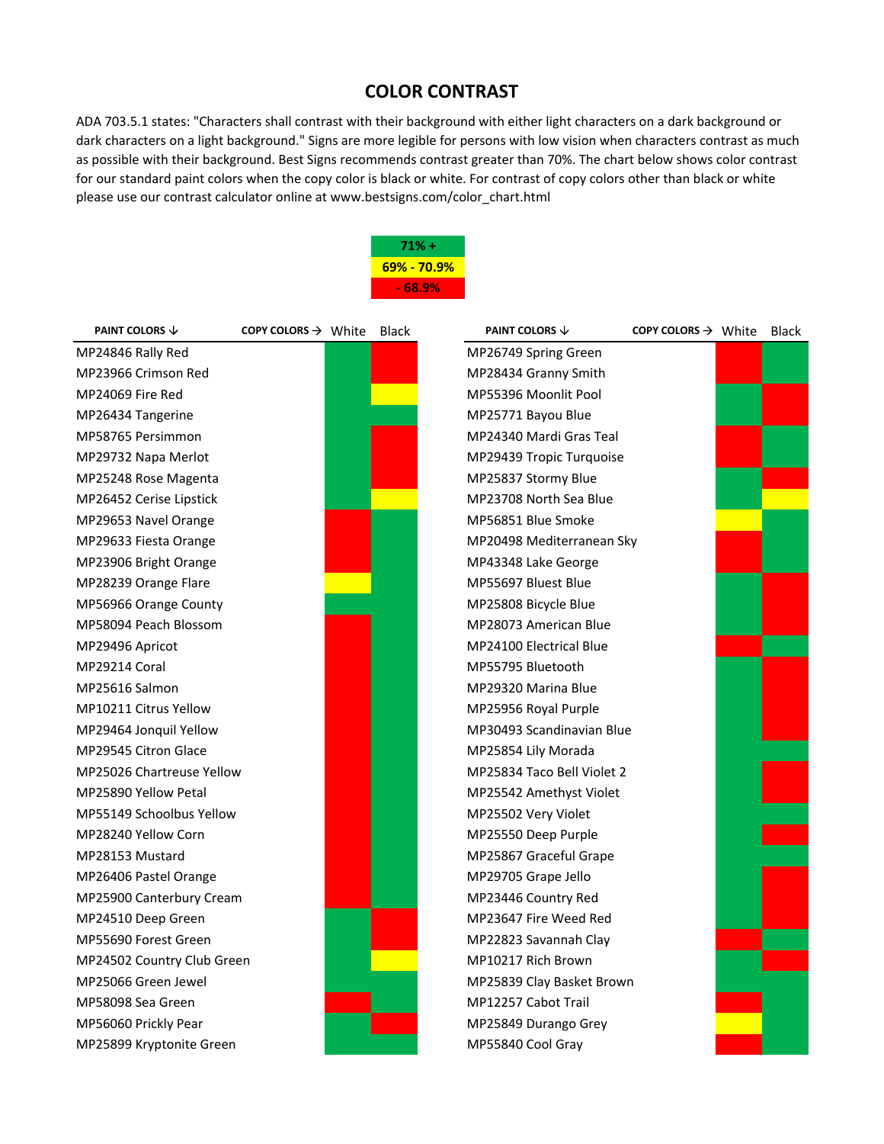## **COLOR CONTRAST**

ADA 703.5.1 states: "Characters shall contrast with their background with either light characters on a dark background or dark characters on a light background." Signs are more legible for persons with low vision when characters contrast as much as possible with their background. Best Signs recommends contrast greater than 70%. The chart below shows color contrast for our standard paint colors when the copy color is black or white. For contrast of copy colors other than black or white please use our contrast calculator online at www.bestsigns.com/color\_chart.html